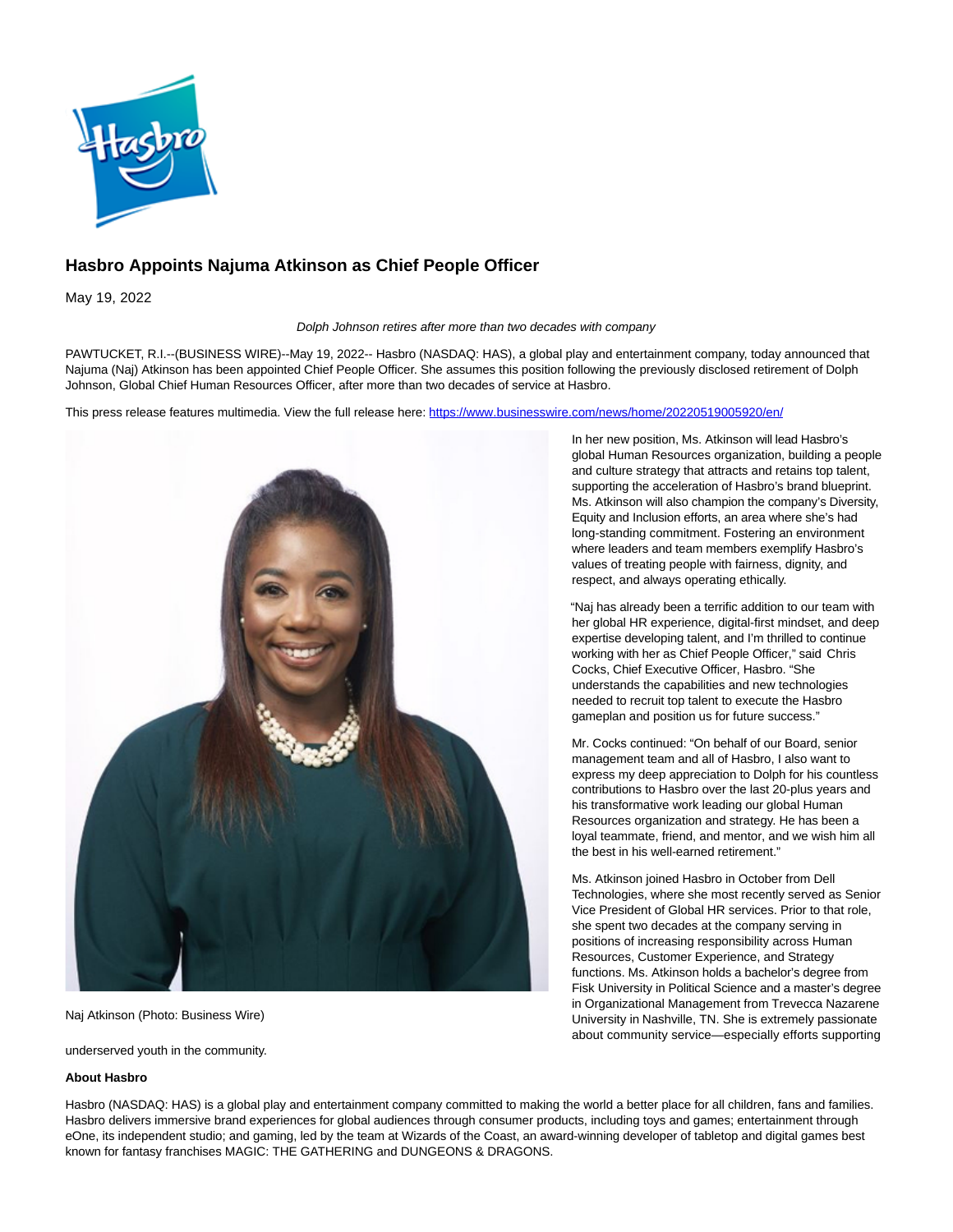

## **Hasbro Appoints Najuma Atkinson as Chief People Officer**

May 19, 2022

Dolph Johnson retires after more than two decades with company

PAWTUCKET, R.I.--(BUSINESS WIRE)--May 19, 2022-- Hasbro (NASDAQ: HAS), a global play and entertainment company, today announced that Najuma (Naj) Atkinson has been appointed Chief People Officer. She assumes this position following the previously disclosed retirement of Dolph Johnson, Global Chief Human Resources Officer, after more than two decades of service at Hasbro.

This press release features multimedia. View the full release here:<https://www.businesswire.com/news/home/20220519005920/en/>



Naj Atkinson (Photo: Business Wire)

underserved youth in the community.

## **About Hasbro**

In her new position, Ms. Atkinson will lead Hasbro's global Human Resources organization, building a people and culture strategy that attracts and retains top talent, supporting the acceleration of Hasbro's brand blueprint. Ms. Atkinson will also champion the company's Diversity, Equity and Inclusion efforts, an area where she's had long-standing commitment. Fostering an environment where leaders and team members exemplify Hasbro's values of treating people with fairness, dignity, and respect, and always operating ethically.

"Naj has already been a terrific addition to our team with her global HR experience, digital-first mindset, and deep expertise developing talent, and I'm thrilled to continue working with her as Chief People Officer," said Chris Cocks, Chief Executive Officer, Hasbro. "She understands the capabilities and new technologies needed to recruit top talent to execute the Hasbro gameplan and position us for future success."

Mr. Cocks continued: "On behalf of our Board, senior management team and all of Hasbro, I also want to express my deep appreciation to Dolph for his countless contributions to Hasbro over the last 20-plus years and his transformative work leading our global Human Resources organization and strategy. He has been a loyal teammate, friend, and mentor, and we wish him all the best in his well-earned retirement."

Ms. Atkinson joined Hasbro in October from Dell Technologies, where she most recently served as Senior Vice President of Global HR services. Prior to that role, she spent two decades at the company serving in positions of increasing responsibility across Human Resources, Customer Experience, and Strategy functions. Ms. Atkinson holds a bachelor's degree from Fisk University in Political Science and a master's degree in Organizational Management from Trevecca Nazarene University in Nashville, TN. She is extremely passionate about community service—especially efforts supporting

Hasbro (NASDAQ: HAS) is a global play and entertainment company committed to making the world a better place for all children, fans and families. Hasbro delivers immersive brand experiences for global audiences through consumer products, including toys and games; entertainment through eOne, its independent studio; and gaming, led by the team at Wizards of the Coast, an award-winning developer of tabletop and digital games best known for fantasy franchises MAGIC: THE GATHERING and DUNGEONS & DRAGONS.